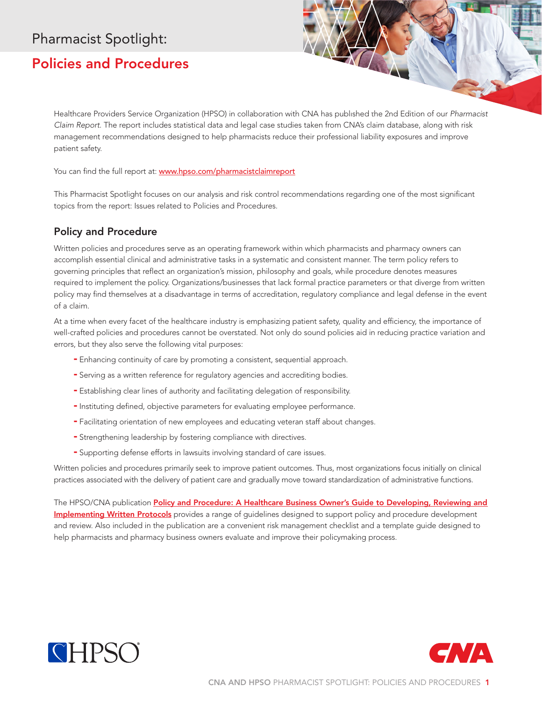## Pharmacist Spotlight:

## Policies and Procedures

Healthcare Providers Service Organization (HPSO) in collaboration with CNA has published the 2nd Edition of our *Pharmacist Claim Report*. The report includes statistical data and legal case studies taken from CNA's claim database, along with risk management recommendations designed to help pharmacists reduce their professional liability exposures and improve patient safety.

You can find the full report at: www.hpso.com/pharmacistclaimreport

This Pharmacist Spotlight focuses on our analysis and risk control recommendations regarding one of the most significant topics from the report: Issues related to Policies and Procedures.

## Policy and Procedure

Written policies and procedures serve as an operating framework within which pharmacists and pharmacy owners can accomplish essential clinical and administrative tasks in a systematic and consistent manner. The term policy refers to governing principles that reflect an organization's mission, philosophy and goals, while procedure denotes measures required to implement the policy. Organizations/businesses that lack formal practice parameters or that diverge from written policy may find themselves at a disadvantage in terms of accreditation, regulatory compliance and legal defense in the event of a claim.

At a time when every facet of the healthcare industry is emphasizing patient safety, quality and efficiency, the importance of well-crafted policies and procedures cannot be overstated. Not only do sound policies aid in reducing practice variation and errors, but they also serve the following vital purposes:

- Enhancing continuity of care by promoting a consistent, sequential approach.
- Serving as a written reference for regulatory agencies and accrediting bodies.
- Establishing clear lines of authority and facilitating delegation of responsibility.
- Instituting defined, objective parameters for evaluating employee performance.
- Facilitating orientation of new employees and educating veteran staff about changes.
- Strengthening leadership by fostering compliance with directives.
- Supporting defense efforts in lawsuits involving standard of care issues.

Written policies and procedures primarily seek to improve patient outcomes. Thus, most organizations focus initially on clinical practices associated with the delivery of patient care and gradually move toward standardization of administrative functions.

The HPSO/CNA publication Policy and Procedure: A Healthcare Business Owner's Guide to Developing, Reviewing and [Implementing Written Protocols](http://www.hpso.com/Documents/Risk%20Education/Businesses/CNA_HP16-8_021016p_CF_PROD_SEC.pdf) provides a range of guidelines designed to support policy and procedure development and review. Also included in the publication are a convenient risk management checklist and a template guide designed to help pharmacists and pharmacy business owners evaluate and improve their policymaking process.



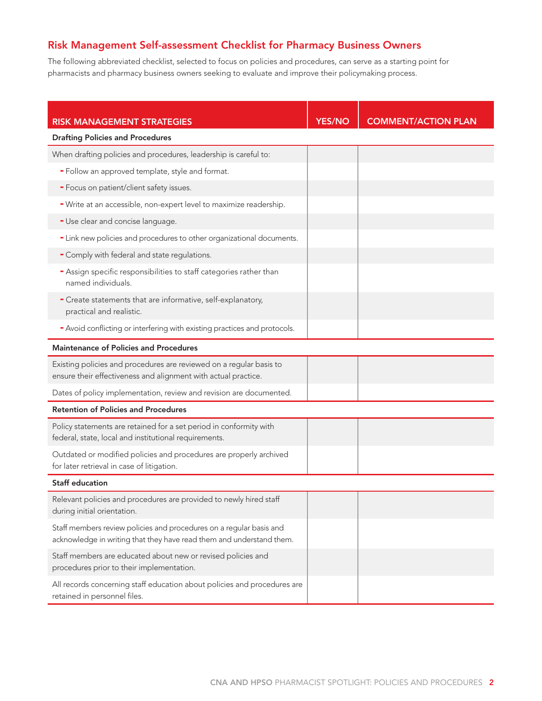## Risk Management Self-assessment Checklist for Pharmacy Business Owners

The following abbreviated checklist, selected to focus on policies and procedures, can serve as a starting point for pharmacists and pharmacy business owners seeking to evaluate and improve their policymaking process.

| <b>RISK MANAGEMENT STRATEGIES</b>                                                                                                           | <b>YES/NO</b> | <b>COMMENT/ACTION PLAN</b> |
|---------------------------------------------------------------------------------------------------------------------------------------------|---------------|----------------------------|
| <b>Drafting Policies and Procedures</b>                                                                                                     |               |                            |
| When drafting policies and procedures, leadership is careful to:                                                                            |               |                            |
| - Follow an approved template, style and format.                                                                                            |               |                            |
| - Focus on patient/client safety issues.                                                                                                    |               |                            |
| - Write at an accessible, non-expert level to maximize readership.                                                                          |               |                            |
| - Use clear and concise language.                                                                                                           |               |                            |
| - Link new policies and procedures to other organizational documents.                                                                       |               |                            |
| - Comply with federal and state regulations.                                                                                                |               |                            |
| - Assign specific responsibilities to staff categories rather than<br>named individuals.                                                    |               |                            |
| - Create statements that are informative, self-explanatory,<br>practical and realistic.                                                     |               |                            |
| - Avoid conflicting or interfering with existing practices and protocols.                                                                   |               |                            |
| <b>Maintenance of Policies and Procedures</b>                                                                                               |               |                            |
| Existing policies and procedures are reviewed on a regular basis to<br>ensure their effectiveness and alignment with actual practice.       |               |                            |
| Dates of policy implementation, review and revision are documented.                                                                         |               |                            |
| <b>Retention of Policies and Procedures</b>                                                                                                 |               |                            |
| Policy statements are retained for a set period in conformity with<br>federal, state, local and institutional requirements.                 |               |                            |
| Outdated or modified policies and procedures are properly archived<br>for later retrieval in case of litigation.                            |               |                            |
| <b>Staff education</b>                                                                                                                      |               |                            |
| Relevant policies and procedures are provided to newly hired staff<br>during initial orientation.                                           |               |                            |
| Staff members review policies and procedures on a regular basis and<br>acknowledge in writing that they have read them and understand them. |               |                            |
| Staff members are educated about new or revised policies and<br>procedures prior to their implementation.                                   |               |                            |
| All records concerning staff education about policies and procedures are<br>retained in personnel files.                                    |               |                            |